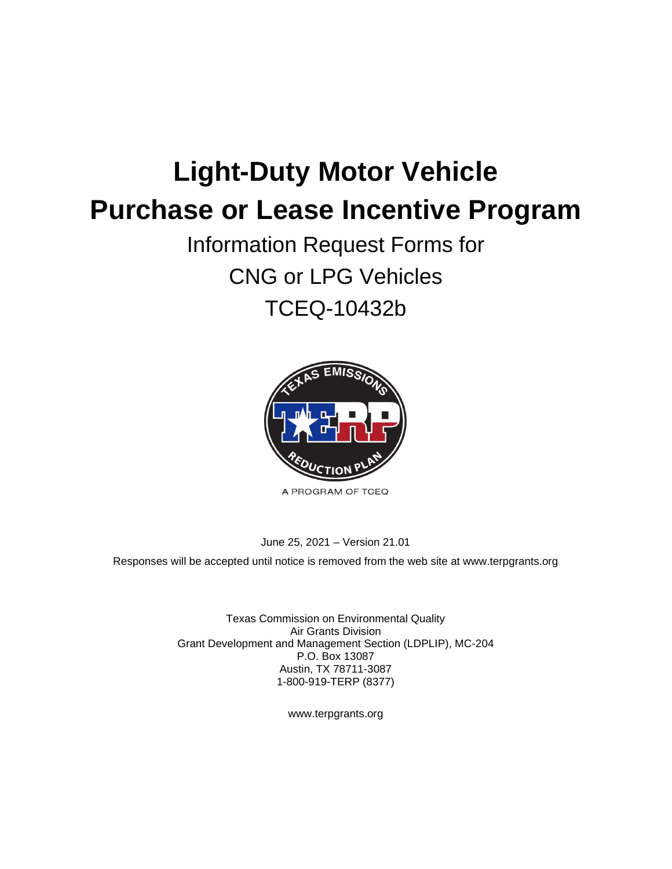# **Light-Duty Motor Vehicle Purchase or Lease Incentive Program**

Information Request Forms for CNG or LPG Vehicles TCEQ-10432b



A PROGRAM OF TCEQ

June 25, 2021 – Version 21.01

Responses will be accepted until notice is removed from the web site at [www.terpgrants.org](http://www.terpgrants.org/) 

Texas Commission on Environmental Quality Air Grants Division Grant Development and Management Section (LDPLIP), MC-204 P.O. Box 13087 Austin, TX 78711-3087 1-800-919-TERP (8377)

[www.terpgrants.org](http://www.terpgrants.org/)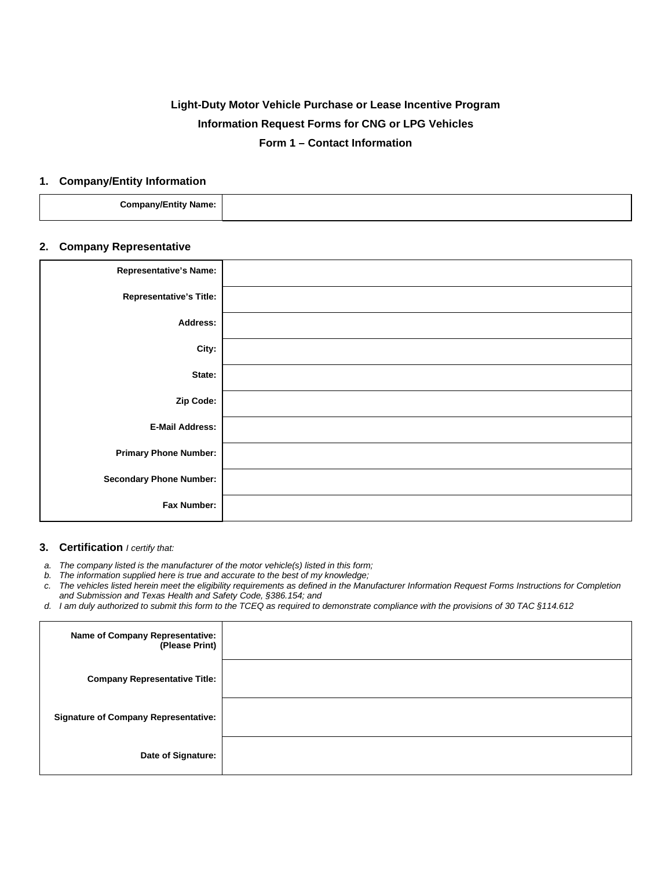# **Light-Duty Motor Vehicle Purchase or Lease Incentive Program Information Request Forms for CNG or LPG Vehicles Form 1 – Contact Information**

#### **1. Company/Entity Information**

| --<br>Company/En<br>∃ntitv<br>' Name: |  |
|---------------------------------------|--|
|                                       |  |

# **2. Company Representative**

| <b>Representative's Name:</b>  |  |
|--------------------------------|--|
| <b>Representative's Title:</b> |  |
| Address:                       |  |
| City:                          |  |
| State:                         |  |
| Zip Code:                      |  |
| <b>E-Mail Address:</b>         |  |
| <b>Primary Phone Number:</b>   |  |
| <b>Secondary Phone Number:</b> |  |
| Fax Number:                    |  |

#### **3. Certification** *I certify that:*

*a. The company listed is the manufacturer of the motor vehicle(s) listed in this form;* 

*b. The information supplied here is true and accurate to the best of my knowledge;* 

*c. The vehicles listed herein meet the eligibility requirements as defined in the Manufacturer Information Request Forms Instructions for Completion and Submission and Texas Health and Safety Code, §386.154; and* 

*d. I am duly authorized to submit this form to the TCEQ as required to demonstrate compliance with the provisions of 30 TAC §114.612* 

| <b>Name of Company Representative:</b><br>(Please Print) |  |
|----------------------------------------------------------|--|
| <b>Company Representative Title:</b>                     |  |
| <b>Signature of Company Representative:</b>              |  |
| Date of Signature:                                       |  |